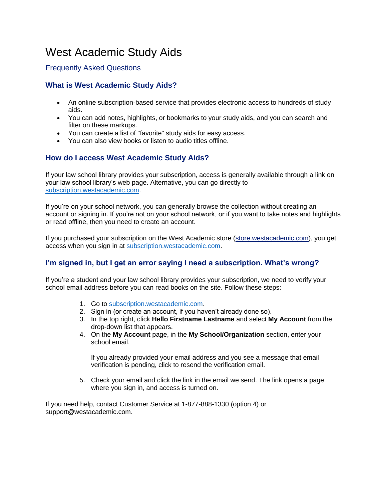# West Academic Study Aids

# Frequently Asked Questions

# **What is West Academic Study Aids?**

- An online subscription-based service that provides electronic access to hundreds of study aids.
- You can add notes, highlights, or bookmarks to your study aids, and you can search and filter on these markups.
- You can create a list of "favorite" study aids for easy access.
- You can also view books or listen to audio titles offline.

# **How do I access West Academic Study Aids?**

If your law school library provides your subscription, access is generally available through a link on your law school library's web page. Alternative, you can go directly to [subscription.westacademic.com.](https://subscription.westacademic.com/)

If you're on your school network, you can generally browse the collection without creating an account or signing in. If you're not on your school network, or if you want to take notes and highlights or read offline, then you need to create an account.

If you purchased your subscription on the West Academic store [\(store.westacademic.com\)](http://store.westacademic.com/), you get access when you sign in at [subscription.westacademic.com.](https://subscription.westacademic.com/)

# **I'm signed in, but I get an error saying I need a subscription. What's wrong?**

If you're a student and your law school library provides your subscription, we need to verify your school email address before you can read books on the site. Follow these steps:

- 1. Go to [subscription.westacademic.com.](https://subscription.westacademic.com/)
- 2. Sign in (or create an account, if you haven't already done so).
- 3. In the top right, click **Hello Firstname Lastname** and select **My Account** from the drop-down list that appears.
- 4. On the **My Account** page, in the **My School/Organization** section, enter your school email.

If you already provided your email address and you see a message that email verification is pending, click to resend the verification email.

5. Check your email and click the link in the email we send. The link opens a page where you sign in, and access is turned on.

If you need help, contact Customer Service at 1-877-888-1330 (option 4) or support@westacademic.com.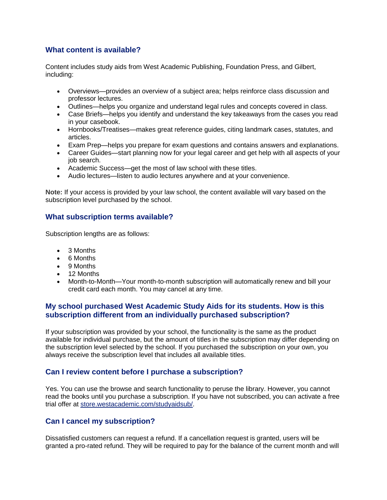# **What content is available?**

Content includes study aids from West Academic Publishing, Foundation Press, and Gilbert, including:

- Overviews—provides an overview of a subject area; helps reinforce class discussion and professor lectures.
- Outlines—helps you organize and understand legal rules and concepts covered in class.
- Case Briefs—helps you identify and understand the key takeaways from the cases you read in your casebook.
- Hornbooks/Treatises—makes great reference guides, citing landmark cases, statutes, and articles.
- Exam Prep—helps you prepare for exam questions and contains answers and explanations.
- Career Guides—start planning now for your legal career and get help with all aspects of your job search.
- Academic Success—get the most of law school with these titles.
- Audio lectures—listen to audio lectures anywhere and at your convenience.

**Note:** If your access is provided by your law school, the content available will vary based on the subscription level purchased by the school.

#### **What subscription terms available?**

Subscription lengths are as follows:

- 3 Months
- 6 Months
- 9 Months
- 12 Months
- Month-to-Month—Your month-to-month subscription will automatically renew and bill your credit card each month. You may cancel at any time.

# **My school purchased West Academic Study Aids for its students. How is this subscription different from an individually purchased subscription?**

If your subscription was provided by your school, the functionality is the same as the product available for individual purchase, but the amount of titles in the subscription may differ depending on the subscription level selected by the school. If you purchased the subscription on your own, you always receive the subscription level that includes all available titles.

#### **Can I review content before I purchase a subscription?**

Yes. You can use the browse and search functionality to peruse the library. However, you cannot read the books until you purchase a subscription. If you have not subscribed, you can activate a free trial offer at [store.westacademic.com/studyaidsub/.](http://store.westacademic.com/studyaidsub/)

#### **Can I cancel my subscription?**

Dissatisfied customers can request a refund. If a cancellation request is granted, users will be granted a pro-rated refund. They will be required to pay for the balance of the current month and will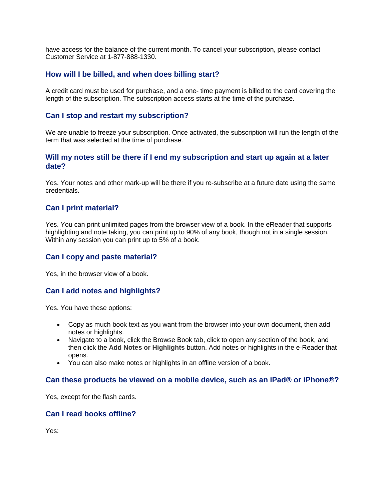have access for the balance of the current month. To cancel your subscription, please contact Customer Service at 1-877-888-1330.

## **How will I be billed, and when does billing start?**

A credit card must be used for purchase, and a one- time payment is billed to the card covering the length of the subscription. The subscription access starts at the time of the purchase.

#### **Can I stop and restart my subscription?**

We are unable to freeze your subscription. Once activated, the subscription will run the length of the term that was selected at the time of purchase.

#### **Will my notes still be there if I end my subscription and start up again at a later date?**

Yes. Your notes and other mark-up will be there if you re-subscribe at a future date using the same credentials.

#### **Can I print material?**

Yes. You can print unlimited pages from the browser view of a book. In the eReader that supports highlighting and note taking, you can print up to 90% of any book, though not in a single session. Within any session you can print up to 5% of a book.

#### **Can I copy and paste material?**

Yes, in the browser view of a book.

#### **Can I add notes and highlights?**

Yes. You have these options:

- Copy as much book text as you want from the browser into your own document, then add notes or highlights.
- Navigate to a book, click the Browse Book tab, click to open any section of the book, and then click the **Add Notes or Highlights** button. Add notes or highlights in the e-Reader that opens.
- You can also make notes or highlights in an offline version of a book.

#### **Can these products be viewed on a mobile device, such as an iPad® or iPhone®?**

Yes, except for the flash cards.

#### **Can I read books offline?**

Yes: